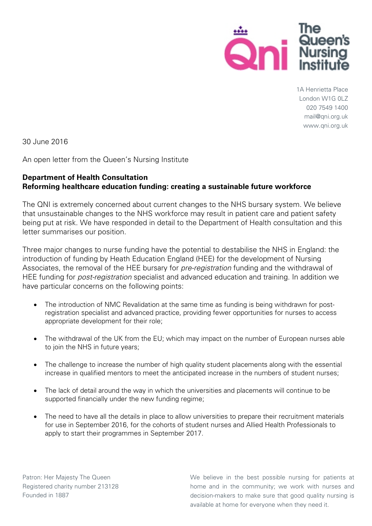

1A Henrietta Place London W1G 0LZ 020 7549 1400 mail@qni.org.uk www.qni.org.uk

30 June 2016

An open letter from the Queen's Nursing Institute

## **Department of Health [Consultation](https://consultations.dh.gov.uk/workforce/healthcare-education-funding/consult_view) Reforming healthcare education funding: creating a sustainable future workforce**

The QNI is extremely concerned about current changes to the NHS bursary system. We believe that unsustainable changes to the NHS workforce may result in patient care and patient safety being put at risk. We have responded in detail to the Department of Health consultation and this letter summarises our position.

Three major changes to nurse funding have the potential to destabilise the NHS in England: the introduction of funding by Heath Education England (HEE) for the development of Nursing Associates, the removal of the HEE bursary for *pre-registration* funding and the withdrawal of HEE funding for *post-registration* specialist and advanced education and training. In addition we have particular concerns on the following points:

- The introduction of NMC Revalidation at the same time as funding is being withdrawn for postregistration specialist and advanced practice, providing fewer opportunities for nurses to access appropriate development for their role;
- The withdrawal of the UK from the EU; which may impact on the number of European nurses able to join the NHS in future years;
- The challenge to increase the number of high quality student placements along with the essential increase in qualified mentors to meet the anticipated increase in the numbers of student nurses;
- The lack of detail around the way in which the universities and placements will continue to be supported financially under the new funding regime;
- The need to have all the details in place to allow universities to prepare their recruitment materials for use in September 2016, for the cohorts of student nurses and Allied Health Professionals to apply to start their programmes in September 2017.

We believe in the best possible nursing for patients at home and in the community; we work with nurses and decision-makers to make sure that good quality nursing is available at home for everyone when they need it.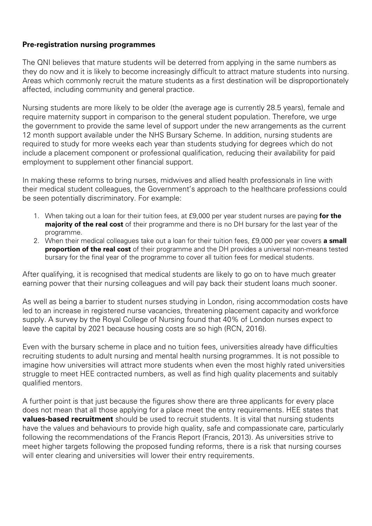## **Pre-registration nursing programmes**

The QNI believes that mature students will be deterred from applying in the same numbers as they do now and it is likely to become increasingly difficult to attract mature students into nursing. Areas which commonly recruit the mature students as a first destination will be disproportionately affected, including community and general practice.

Nursing students are more likely to be older (the average age is currently 28.5 years), female and require maternity support in comparison to the general student population. Therefore, we urge the government to provide the same level of support under the new arrangements as the current 12 month support available under the NHS Bursary Scheme. In addition, nursing students are required to study for more weeks each year than students studying for degrees which do not include a placement component or professional qualification, reducing their availability for paid employment to supplement other financial support.

In making these reforms to bring nurses, midwives and allied health professionals in line with their medical student colleagues, the Government's approach to the healthcare professions could be seen potentially discriminatory. For example:

- 1. When taking out a loan for their tuition fees, at £9,000 per year student nurses are paying **for the majority of the real cost** of their programme and there is no DH bursary for the last year of the programme.
- 2. When their medical colleagues take out a loan for their tuition fees, £9,000 per year covers **a small proportion of the real cost** of their programme and the DH provides a universal non-means tested bursary for the final year of the programme to cover all tuition fees for medical students.

After qualifying, it is recognised that medical students are likely to go on to have much greater earning power that their nursing colleagues and will pay back their student loans much sooner.

As well as being a barrier to student nurses studying in London, rising accommodation costs have led to an increase in registered nurse vacancies, threatening placement capacity and workforce supply. A survey by the Royal College of Nursing found that 40% of London nurses expect to leave the capital by 2021 because housing costs are so high (RCN, 2016).

Even with the bursary scheme in place and no tuition fees, universities already have difficulties recruiting students to adult nursing and mental health nursing programmes. It is not possible to imagine how universities will attract more students when even the most highly rated universities struggle to meet HEE contracted numbers, as well as find high quality placements and suitably qualified mentors.

A further point is that just because the figures show there are three applicants for every place does not mean that all those applying for a place meet the entry requirements. HEE states that **values-based recruitment** should be used to recruit students. It is vital that nursing students have the values and behaviours to provide high quality, safe and compassionate care, particularly following the recommendations of the Francis Report (Francis, 2013). As universities strive to meet higher targets following the proposed funding reforms, there is a risk that nursing courses will enter clearing and universities will lower their entry requirements.